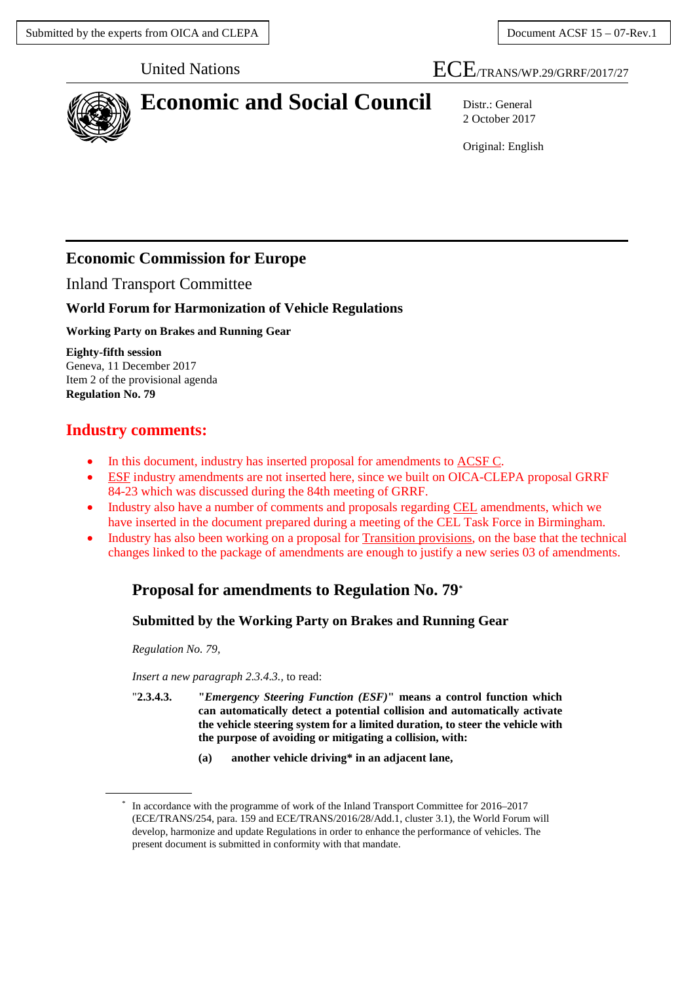# United Nations ECE/TRANS/WP.29/GRRF/2017/27



# **Economic and Social Council** Distr.: General

2 October 2017

Original: English

# **Economic Commission for Europe**

Inland Transport Committee

## **World Forum for Harmonization of Vehicle Regulations**

### **Working Party on Brakes and Running Gear**

**Eighty-fifth session** Geneva, 11 December 2017 Item 2 of the provisional agenda **Regulation No. 79**

# **Industry comments:**

- In this document, industry has inserted proposal for amendments to **ACSF C**.
- ESF industry amendments are not inserted here, since we built on OICA-CLEPA proposal GRRF 84-23 which was discussed during the 84th meeting of GRRF.
- Industry also have a number of comments and proposals regarding CEL amendments, which we have inserted in the document prepared during a meeting of the CEL Task Force in Birmingham.
- Industry has also been working on a proposal for Transition provisions, on the base that the technical changes linked to the package of amendments are enough to justify a new series 03 of amendments.

# **Proposal for amendments to Regulation No. 79[\\*](#page-0-0)**

## **Submitted by the Working Party on Brakes and Running Gear**

*Regulation No. 79,*

*Insert a new paragraph 2.3.4.3.,* to read:

- "**2.3.4.3. "***Emergency Steering Function (ESF)***" means a control function which can automatically detect a potential collision and automatically activate the vehicle steering system for a limited duration, to steer the vehicle with the purpose of avoiding or mitigating a collision, with:**
	- **(a) another vehicle driving\* in an adjacent lane,**

<span id="page-0-0"></span>In accordance with the programme of work of the Inland Transport Committee for 2016–2017 (ECE/TRANS/254, para. 159 and ECE/TRANS/2016/28/Add.1, cluster 3.1), the World Forum will develop, harmonize and update Regulations in order to enhance the performance of vehicles. The present document is submitted in conformity with that mandate.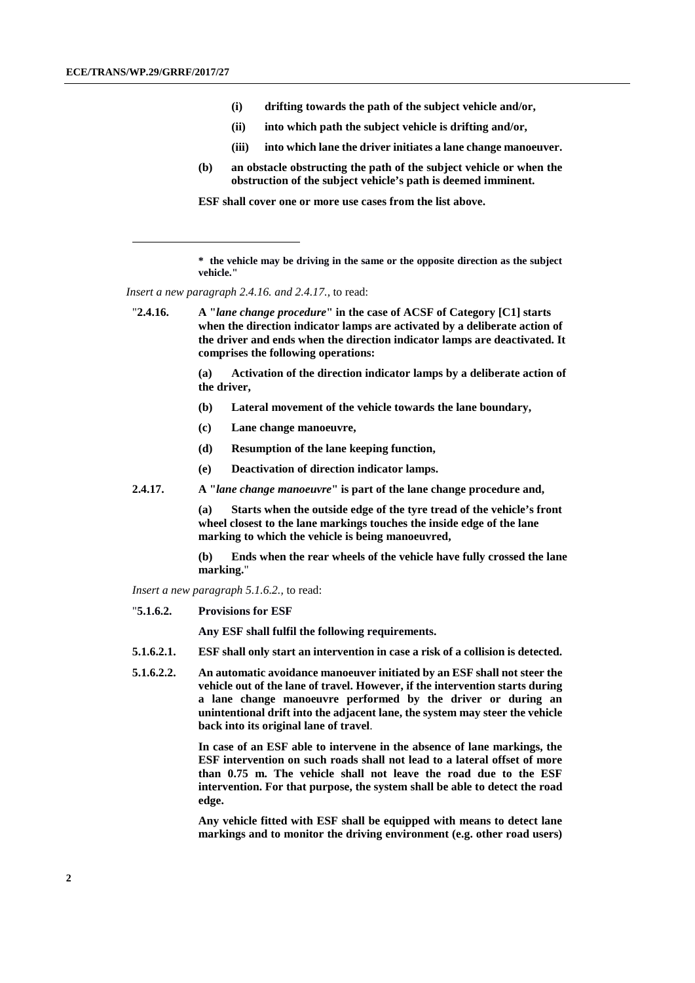-

- **(i) drifting towards the path of the subject vehicle and/or,**
- **(ii) into which path the subject vehicle is drifting and/or,**
- **(iii) into which lane the driver initiates a lane change manoeuver.**
- **(b) an obstacle obstructing the path of the subject vehicle or when the obstruction of the subject vehicle's path is deemed imminent.**

**ESF shall cover one or more use cases from the list above.**

*Insert a new paragraph 2.4.16. and 2.4.17.,* to read:

**(a) Activation of the direction indicator lamps by a deliberate action of the driver,**

- **(b) Lateral movement of the vehicle towards the lane boundary,**
- **(c) Lane change manoeuvre,**
- **(d) Resumption of the lane keeping function,**
- **(e) Deactivation of direction indicator lamps.**
- **2.4.17. A "***lane change manoeuvre***" is part of the lane change procedure and,**

**(a) Starts when the outside edge of the tyre tread of the vehicle's front wheel closest to the lane markings touches the inside edge of the lane marking to which the vehicle is being manoeuvred,**

**(b) Ends when the rear wheels of the vehicle have fully crossed the lane marking.**"

*Insert a new paragraph 5.1.6.2.,* to read:

"**5.1.6.2. Provisions for ESF**

**Any ESF shall fulfil the following requirements.**

- **5.1.6.2.1. ESF shall only start an intervention in case a risk of a collision is detected.**
- **5.1.6.2.2. An automatic avoidance manoeuver initiated by an ESF shall not steer the vehicle out of the lane of travel. However, if the intervention starts during a lane change manoeuvre performed by the driver or during an unintentional drift into the adjacent lane, the system may steer the vehicle back into its original lane of travel**.

**In case of an ESF able to intervene in the absence of lane markings, the ESF intervention on such roads shall not lead to a lateral offset of more than 0.75 m. The vehicle shall not leave the road due to the ESF intervention. For that purpose, the system shall be able to detect the road edge.** 

**Any vehicle fitted with ESF shall be equipped with means to detect lane markings and to monitor the driving environment (e.g. other road users)** 

**<sup>\*</sup> the vehicle may be driving in the same or the opposite direction as the subject vehicle."**

<sup>&</sup>quot;**2.4.16. A "***lane change procedure***" in the case of ACSF of Category [C1] starts when the direction indicator lamps are activated by a deliberate action of the driver and ends when the direction indicator lamps are deactivated. It comprises the following operations:**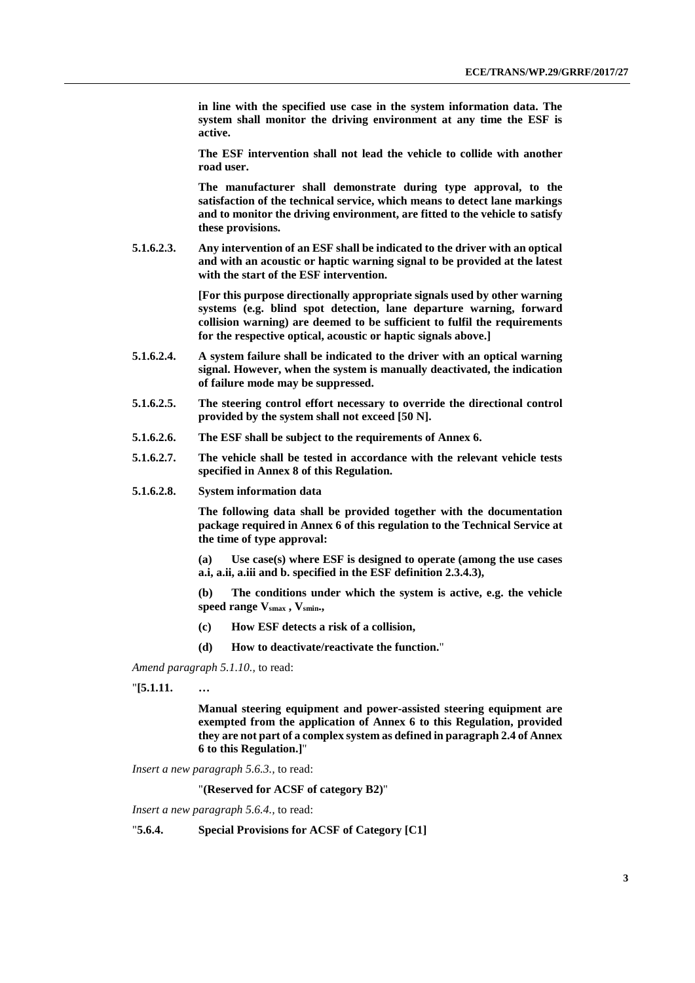**in line with the specified use case in the system information data. The system shall monitor the driving environment at any time the ESF is active.** 

**The ESF intervention shall not lead the vehicle to collide with another road user.**

**The manufacturer shall demonstrate during type approval, to the satisfaction of the technical service, which means to detect lane markings and to monitor the driving environment, are fitted to the vehicle to satisfy these provisions.**

**5.1.6.2.3. Any intervention of an ESF shall be indicated to the driver with an optical and with an acoustic or haptic warning signal to be provided at the latest with the start of the ESF intervention.** 

> **[For this purpose directionally appropriate signals used by other warning systems (e.g. blind spot detection, lane departure warning, forward collision warning) are deemed to be sufficient to fulfil the requirements for the respective optical, acoustic or haptic signals above.]**

- **5.1.6.2.4. A system failure shall be indicated to the driver with an optical warning signal. However, when the system is manually deactivated, the indication of failure mode may be suppressed.**
- **5.1.6.2.5. The steering control effort necessary to override the directional control provided by the system shall not exceed [50 N].**
- **5.1.6.2.6. The ESF shall be subject to the requirements of Annex 6.**
- **5.1.6.2.7. The vehicle shall be tested in accordance with the relevant vehicle tests specified in Annex 8 of this Regulation.**
- **5.1.6.2.8. System information data**

**The following data shall be provided together with the documentation package required in Annex 6 of this regulation to the Technical Service at the time of type approval:**

**(a) Use case(s) where ESF is designed to operate (among the use cases a.i, a.ii, a.iii and b. specified in the ESF definition 2.3.4.3),**

**(b) The conditions under which the system is active, e.g. the vehicle**  speed range  $V_{smax}$ ,  $V_{smin}$ .

- **(c) How ESF detects a risk of a collision,**
- **(d) How to deactivate/reactivate the function.**"

*Amend paragraph 5.1.10.,* to read:

"**[5.1.11. …**

**Manual steering equipment and power-assisted steering equipment are exempted from the application of Annex 6 to this Regulation, provided they are not part of a complex system as defined in paragraph 2.4 of Annex 6 to this Regulation.]**"

*Insert a new paragraph 5.6.3.,* to read:

"**(Reserved for ACSF of category B2)**"

*Insert a new paragraph 5.6.4.,* to read:

"**5.6.4. Special Provisions for ACSF of Category [C1]**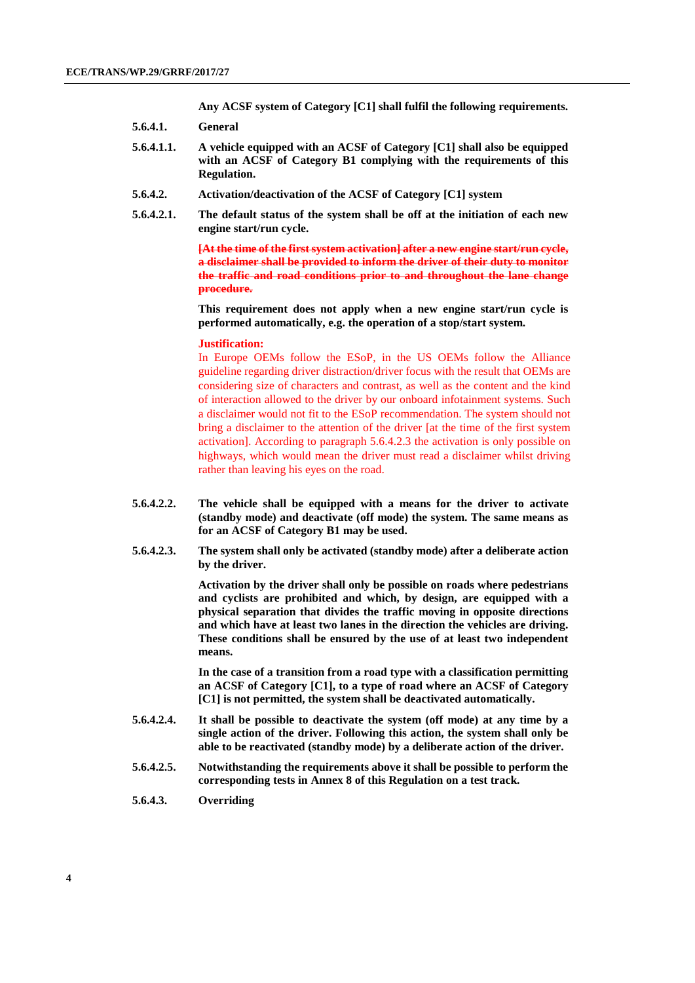**Any ACSF system of Category [C1] shall fulfil the following requirements.**

- **5.6.4.1. General**
- **5.6.4.1.1. A vehicle equipped with an ACSF of Category [C1] shall also be equipped with an ACSF of Category B1 complying with the requirements of this Regulation.**
- **5.6.4.2. Activation/deactivation of the ACSF of Category [C1] system**
- **5.6.4.2.1. The default status of the system shall be off at the initiation of each new engine start/run cycle.**

**[At the time of the first system activation] after a new engine start/run cycle, a disclaimer shall be provided to inform the driver of their duty to monitor the traffic and road conditions prior to and throughout the lane change procedure.**

**This requirement does not apply when a new engine start/run cycle is performed automatically, e.g. the operation of a stop/start system.**

#### **Justification:**

In Europe OEMs follow the ESoP, in the US OEMs follow the Alliance guideline regarding driver distraction/driver focus with the result that OEMs are considering size of characters and contrast, as well as the content and the kind of interaction allowed to the driver by our onboard infotainment systems. Such a disclaimer would not fit to the ESoP recommendation. The system should not bring a disclaimer to the attention of the driver [at the time of the first system activation]. According to paragraph 5.6.4.2.3 the activation is only possible on highways, which would mean the driver must read a disclaimer whilst driving rather than leaving his eyes on the road.

- **5.6.4.2.2. The vehicle shall be equipped with a means for the driver to activate (standby mode) and deactivate (off mode) the system. The same means as for an ACSF of Category B1 may be used.**
- **5.6.4.2.3. The system shall only be activated (standby mode) after a deliberate action by the driver.**

**Activation by the driver shall only be possible on roads where pedestrians and cyclists are prohibited and which, by design, are equipped with a physical separation that divides the traffic moving in opposite directions and which have at least two lanes in the direction the vehicles are driving. These conditions shall be ensured by the use of at least two independent means.** 

**In the case of a transition from a road type with a classification permitting an ACSF of Category [C1], to a type of road where an ACSF of Category [C1] is not permitted, the system shall be deactivated automatically.**

- **5.6.4.2.4. It shall be possible to deactivate the system (off mode) at any time by a single action of the driver. Following this action, the system shall only be able to be reactivated (standby mode) by a deliberate action of the driver.**
- **5.6.4.2.5. Notwithstanding the requirements above it shall be possible to perform the corresponding tests in Annex 8 of this Regulation on a test track.**
- **5.6.4.3. Overriding**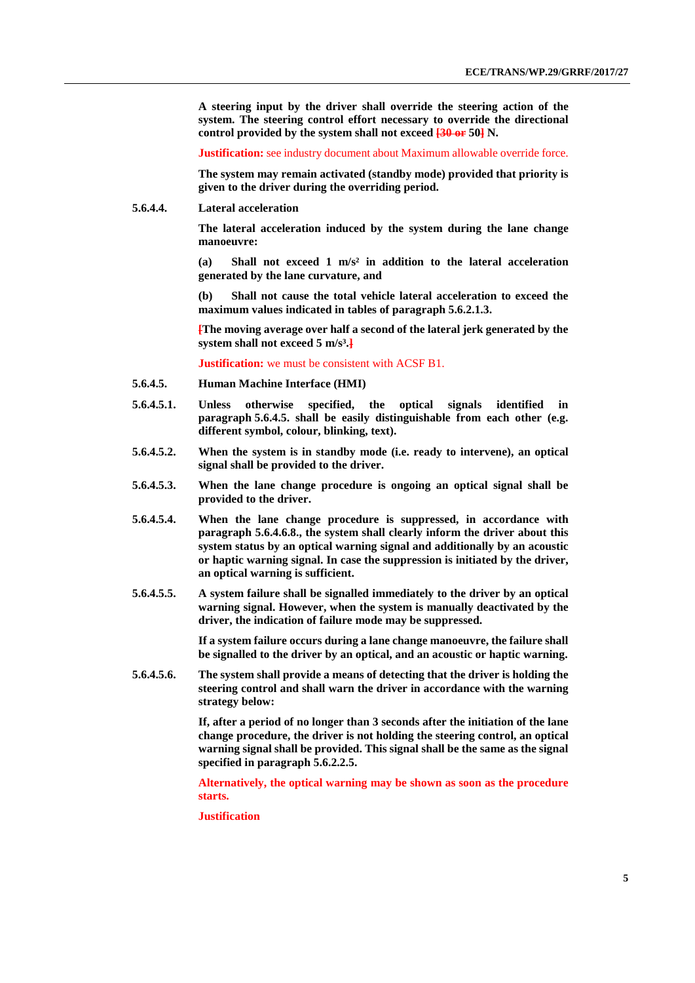**A steering input by the driver shall override the steering action of the system. The steering control effort necessary to override the directional control provided by the system shall not exceed [30 or 50] N.**

**Justification:** see industry document about Maximum allowable override force.

**The system may remain activated (standby mode) provided that priority is given to the driver during the overriding period.**

**5.6.4.4. Lateral acceleration**

**The lateral acceleration induced by the system during the lane change manoeuvre:**

**(a) Shall not exceed 1 m/s² in addition to the lateral acceleration generated by the lane curvature, and** 

**(b) Shall not cause the total vehicle lateral acceleration to exceed the maximum values indicated in tables of paragraph 5.6.2.1.3.**

**[The moving average over half a second of the lateral jerk generated by the system shall not exceed 5 m/s³.]**

**Justification:** we must be consistent with ACSF B1.

- **5.6.4.5. Human Machine Interface (HMI)**
- **5.6.4.5.1. Unless otherwise specified, the optical signals identified in paragraph 5.6.4.5. shall be easily distinguishable from each other (e.g. different symbol, colour, blinking, text).**
- **5.6.4.5.2. When the system is in standby mode (i.e. ready to intervene), an optical signal shall be provided to the driver.**
- **5.6.4.5.3. When the lane change procedure is ongoing an optical signal shall be provided to the driver.**
- **5.6.4.5.4. When the lane change procedure is suppressed, in accordance with paragraph 5.6.4.6.8., the system shall clearly inform the driver about this system status by an optical warning signal and additionally by an acoustic or haptic warning signal. In case the suppression is initiated by the driver, an optical warning is sufficient.**
- **5.6.4.5.5. A system failure shall be signalled immediately to the driver by an optical warning signal. However, when the system is manually deactivated by the driver, the indication of failure mode may be suppressed.**

**If a system failure occurs during a lane change manoeuvre, the failure shall be signalled to the driver by an optical, and an acoustic or haptic warning.**

**5.6.4.5.6. The system shall provide a means of detecting that the driver is holding the steering control and shall warn the driver in accordance with the warning strategy below:**

> **If, after a period of no longer than 3 seconds after the initiation of the lane change procedure, the driver is not holding the steering control, an optical warning signal shall be provided. This signal shall be the same as the signal specified in paragraph 5.6.2.2.5.**

> **Alternatively, the optical warning may be shown as soon as the procedure starts.**

**Justification**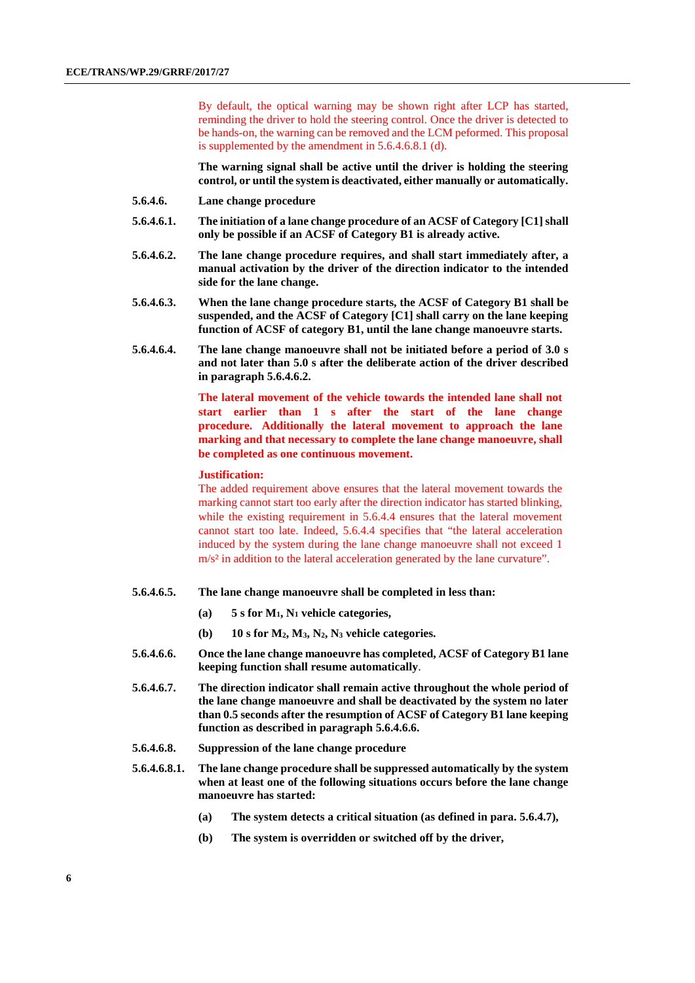By default, the optical warning may be shown right after LCP has started, reminding the driver to hold the steering control. Once the driver is detected to be hands-on, the warning can be removed and the LCM peformed. This proposal is supplemented by the amendment in 5.6.4.6.8.1 (d).

**The warning signal shall be active until the driver is holding the steering control, or until the system is deactivated, either manually or automatically.**

- **5.6.4.6. Lane change procedure**
- **5.6.4.6.1. The initiation of a lane change procedure of an ACSF of Category [C1] shall only be possible if an ACSF of Category B1 is already active.**
- **5.6.4.6.2. The lane change procedure requires, and shall start immediately after, a manual activation by the driver of the direction indicator to the intended side for the lane change.**
- **5.6.4.6.3. When the lane change procedure starts, the ACSF of Category B1 shall be suspended, and the ACSF of Category [C1] shall carry on the lane keeping function of ACSF of category B1, until the lane change manoeuvre starts.**
- **5.6.4.6.4. The lane change manoeuvre shall not be initiated before a period of 3.0 s and not later than 5.0 s after the deliberate action of the driver described in paragraph 5.6.4.6.2.**

**The lateral movement of the vehicle towards the intended lane shall not start earlier than 1 s after the start of the lane change procedure. Additionally the lateral movement to approach the lane marking and that necessary to complete the lane change manoeuvre, shall be completed as one continuous movement.**

### **Justification:**

The added requirement above ensures that the lateral movement towards the marking cannot start too early after the direction indicator has started blinking, while the existing requirement in 5.6.4.4 ensures that the lateral movement cannot start too late. Indeed, 5.6.4.4 specifies that "the lateral acceleration induced by the system during the lane change manoeuvre shall not exceed 1 m/s<sup>2</sup> in addition to the lateral acceleration generated by the lane curvature".

### **5.6.4.6.5. The lane change manoeuvre shall be completed in less than:**

- **(a) 5 s for M1, N1 vehicle categories,**
- **(b) 10 s for M2, M3, N2, N3 vehicle categories.**
- **5.6.4.6.6. Once the lane change manoeuvre has completed, ACSF of Category B1 lane keeping function shall resume automatically**.
- **5.6.4.6.7. The direction indicator shall remain active throughout the whole period of the lane change manoeuvre and shall be deactivated by the system no later than 0.5 seconds after the resumption of ACSF of Category B1 lane keeping function as described in paragraph 5.6.4.6.6.**
- **5.6.4.6.8. Suppression of the lane change procedure**
- **5.6.4.6.8.1. The lane change procedure shall be suppressed automatically by the system when at least one of the following situations occurs before the lane change manoeuvre has started:** 
	- **(a) The system detects a critical situation (as defined in para. 5.6.4.7),**
	- **(b) The system is overridden or switched off by the driver,**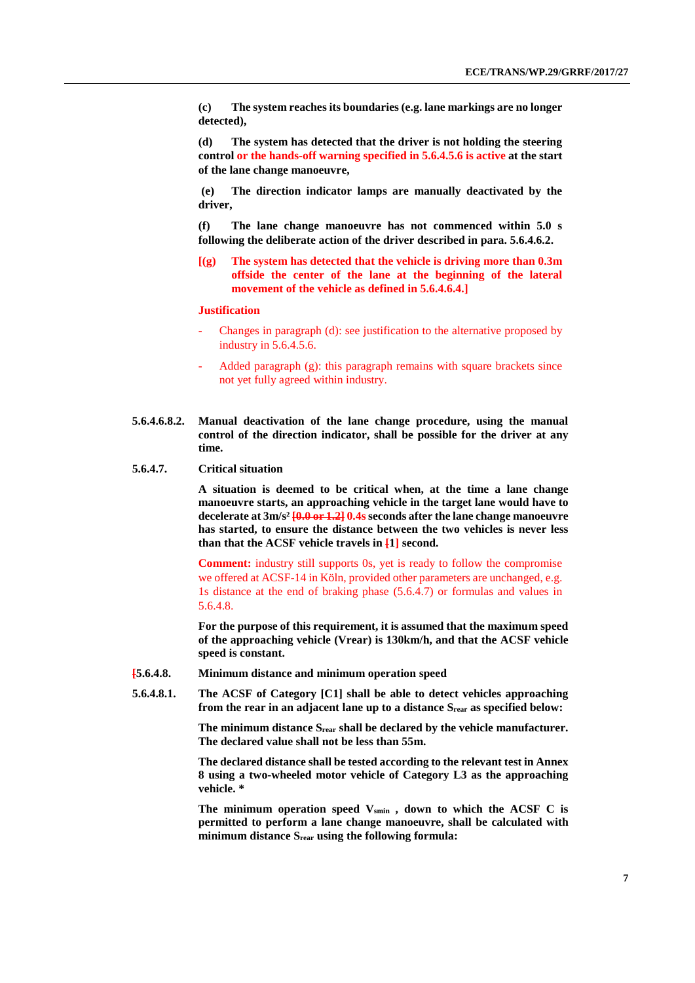**(c) The system reaches its boundaries (e.g. lane markings are no longer detected),**

**(d) The system has detected that the driver is not holding the steering control or the hands-off warning specified in 5.6.4.5.6 is active at the start of the lane change manoeuvre,**

**(e) The direction indicator lamps are manually deactivated by the driver,**

**(f) The lane change manoeuvre has not commenced within 5.0 s following the deliberate action of the driver described in para. 5.6.4.6.2.**

**[(g) The system has detected that the vehicle is driving more than 0.3m offside the center of the lane at the beginning of the lateral movement of the vehicle as defined in 5.6.4.6.4.]**

#### **Justification**

- Changes in paragraph (d): see justification to the alternative proposed by industry in 5.6.4.5.6.
- Added paragraph (g): this paragraph remains with square brackets since not yet fully agreed within industry.
- **5.6.4.6.8.2. Manual deactivation of the lane change procedure, using the manual control of the direction indicator, shall be possible for the driver at any time.**
- **5.6.4.7. Critical situation**

**A situation is deemed to be critical when, at the time a lane change manoeuvre starts, an approaching vehicle in the target lane would have to**  decelerate at 3m/s<sup>2</sup> [0.0 or 1.2] 0.4s seconds after the lane change manoeuvre **has started, to ensure the distance between the two vehicles is never less than that the ACSF vehicle travels in [1] second.**

**Comment:** industry still supports 0s, yet is ready to follow the compromise we offered at ACSF-14 in Köln, provided other parameters are unchanged, e.g. 1s distance at the end of braking phase (5.6.4.7) or formulas and values in 5.6.4.8.

**For the purpose of this requirement, it is assumed that the maximum speed of the approaching vehicle (Vrear) is 130km/h, and that the ACSF vehicle speed is constant.**

- **[5.6.4.8. Minimum distance and minimum operation speed**
- **5.6.4.8.1. The ACSF of Category [C1] shall be able to detect vehicles approaching from the rear in an adjacent lane up to a distance Srear as specified below:**

**The minimum distance Srear shall be declared by the vehicle manufacturer. The declared value shall not be less than 55m.**

**The declared distance shall be tested according to the relevant test in Annex 8 using a two-wheeled motor vehicle of Category L3 as the approaching vehicle. \***

The minimum operation speed V<sub>smin</sub>, down to which the ACSF C is **permitted to perform a lane change manoeuvre, shall be calculated with minimum distance Srear using the following formula:**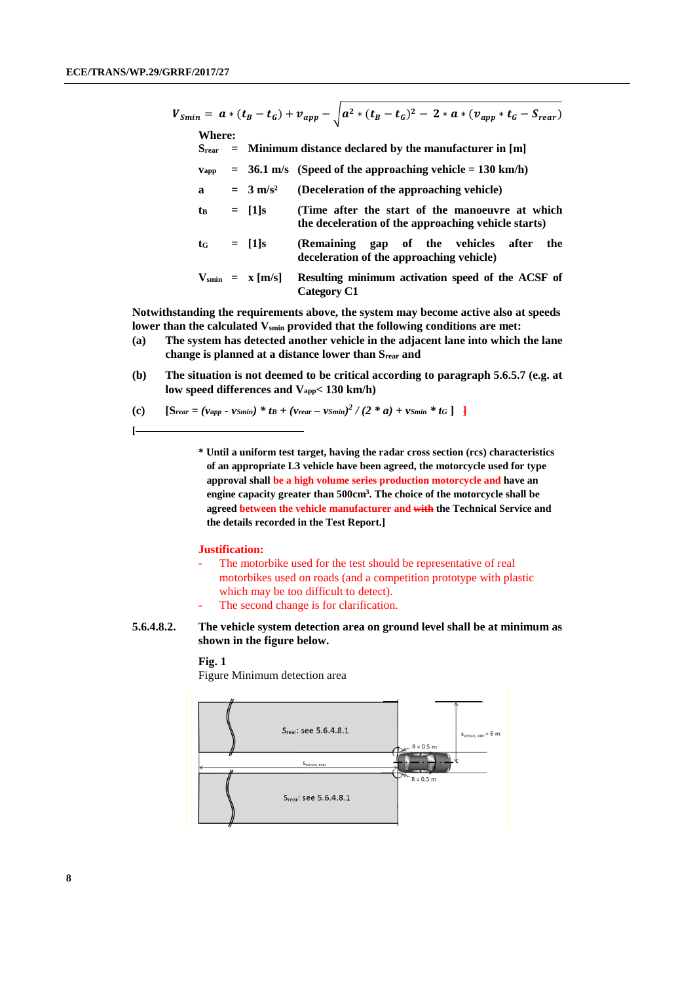**[**

| $V_{Smin} = a * (t_B - t_G) + v_{app} - \sqrt{a^2 * (t_B - t_G)^2 - 2 * a * (v_{app} * t_G - S_{rear})}$ |               |                                                          |                             |                                                                                                        |  |  |
|----------------------------------------------------------------------------------------------------------|---------------|----------------------------------------------------------|-----------------------------|--------------------------------------------------------------------------------------------------------|--|--|
|                                                                                                          | Where:        |                                                          |                             |                                                                                                        |  |  |
|                                                                                                          | Srear         | $=$ Minimum distance declared by the manufacturer in [m] |                             |                                                                                                        |  |  |
|                                                                                                          | Vapp          |                                                          |                             | $=$ 36.1 m/s (Speed of the approaching vehicle $=$ 130 km/h)                                           |  |  |
|                                                                                                          | a             |                                                          | $=$ 3 m/s <sup>2</sup>      | (Deceleration of the approaching vehicle)                                                              |  |  |
|                                                                                                          | $t_{\rm B}$   |                                                          | $=$ [1]s                    | (Time after the start of the manoeuvre at which<br>the deceleration of the approaching vehicle starts) |  |  |
|                                                                                                          | $t_G = [1]_S$ |                                                          |                             | (Remaining gap of the vehicles after<br>the<br>deceleration of the approaching vehicle)                |  |  |
|                                                                                                          |               |                                                          | $V_{\text{smin}} = x [m/s]$ | Resulting minimum activation speed of the ACSF of<br>Category C1                                       |  |  |

**Notwithstanding the requirements above, the system may become active also at speeds**  lower than the calculated V<sub>smin</sub> provided that the following conditions are met:

- **(a) The system has detected another vehicle in the adjacent lane into which the lane change is planned at a distance lower than Srear and**
- **(b) The situation is not deemed to be critical according to paragraph 5.6.5.7 (e.g. at low speed differences and Vapp< 130 km/h)**
- **(c)**  $[\text{S}_{\text{rear}} = (v_{\text{app}} v_{\text{Smin}}) * t_B + (v_{\text{rear}} v_{\text{Smin}})^2 / (2 * a) + v_{\text{Smin}} * t_G]$

**\* Until a uniform test target, having the radar cross section (rcs) characteristics of an appropriate L3 vehicle have been agreed, the motorcycle used for type approval shall be a high volume series production motorcycle and have an engine capacity greater than 500cm3. The choice of the motorcycle shall be agreed between the vehicle manufacturer and with the Technical Service and the details recorded in the Test Report.]**

#### **Justification:**

- The motorbike used for the test should be representative of real motorbikes used on roads (and a competition prototype with plastic which may be too difficult to detect).
- The second change is for clarification.
- **5.6.4.8.2. The vehicle system detection area on ground level shall be at minimum as shown in the figure below.**

### **Fig. 1**

Figure Minimum detection area

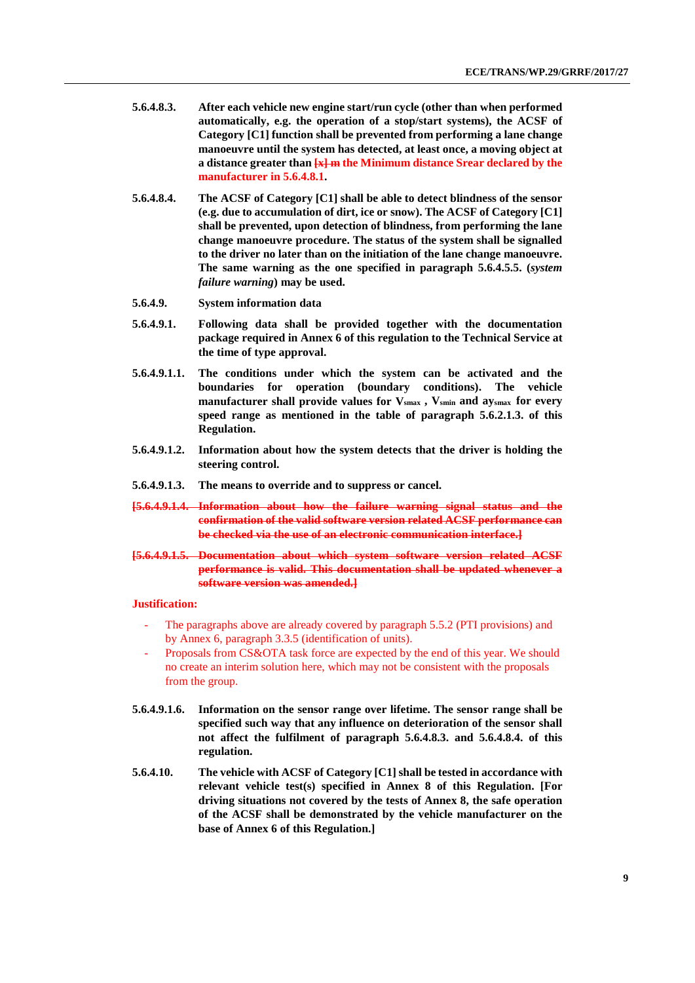- **5.6.4.8.3. After each vehicle new engine start/run cycle (other than when performed automatically, e.g. the operation of a stop/start systems), the ACSF of Category [C1] function shall be prevented from performing a lane change manoeuvre until the system has detected, at least once, a moving object at a distance greater than [x] m the Minimum distance Srear declared by the manufacturer in 5.6.4.8.1.**
- **5.6.4.8.4. The ACSF of Category [C1] shall be able to detect blindness of the sensor (e.g. due to accumulation of dirt, ice or snow). The ACSF of Category [C1] shall be prevented, upon detection of blindness, from performing the lane change manoeuvre procedure. The status of the system shall be signalled to the driver no later than on the initiation of the lane change manoeuvre. The same warning as the one specified in paragraph 5.6.4.5.5. (***system failure warning***) may be used.**
- **5.6.4.9. System information data**
- **5.6.4.9.1. Following data shall be provided together with the documentation package required in Annex 6 of this regulation to the Technical Service at the time of type approval.**
- **5.6.4.9.1.1. The conditions under which the system can be activated and the boundaries for operation (boundary conditions). The vehicle manufacturer shall provide values for Vsmax , Vsmin and aysmax for every speed range as mentioned in the table of paragraph 5.6.2.1.3. of this Regulation.**
- **5.6.4.9.1.2. Information about how the system detects that the driver is holding the steering control.**
- **5.6.4.9.1.3. The means to override and to suppress or cancel.**
- **[5.6.4.9.1.4. Information about how the failure warning signal status and the confirmation of the valid software version related ACSF performance can be checked via the use of an electronic communication interface.]**
- **[5.6.4.9.1.5. Documentation about which system software version related ACSF performance is valid. This documentation shall be updated whenever a software version was amended.]**

#### **Justification:**

- The paragraphs above are already covered by paragraph 5.5.2 (PTI provisions) and by Annex 6, paragraph 3.3.5 (identification of units).
- Proposals from CS&OTA task force are expected by the end of this year. We should no create an interim solution here, which may not be consistent with the proposals from the group.
- **5.6.4.9.1.6. Information on the sensor range over lifetime. The sensor range shall be specified such way that any influence on deterioration of the sensor shall not affect the fulfilment of paragraph 5.6.4.8.3. and 5.6.4.8.4. of this regulation.**
- **5.6.4.10. The vehicle with ACSF of Category [C1] shall be tested in accordance with relevant vehicle test(s) specified in Annex 8 of this Regulation. [For driving situations not covered by the tests of Annex 8, the safe operation of the ACSF shall be demonstrated by the vehicle manufacturer on the base of Annex 6 of this Regulation.]**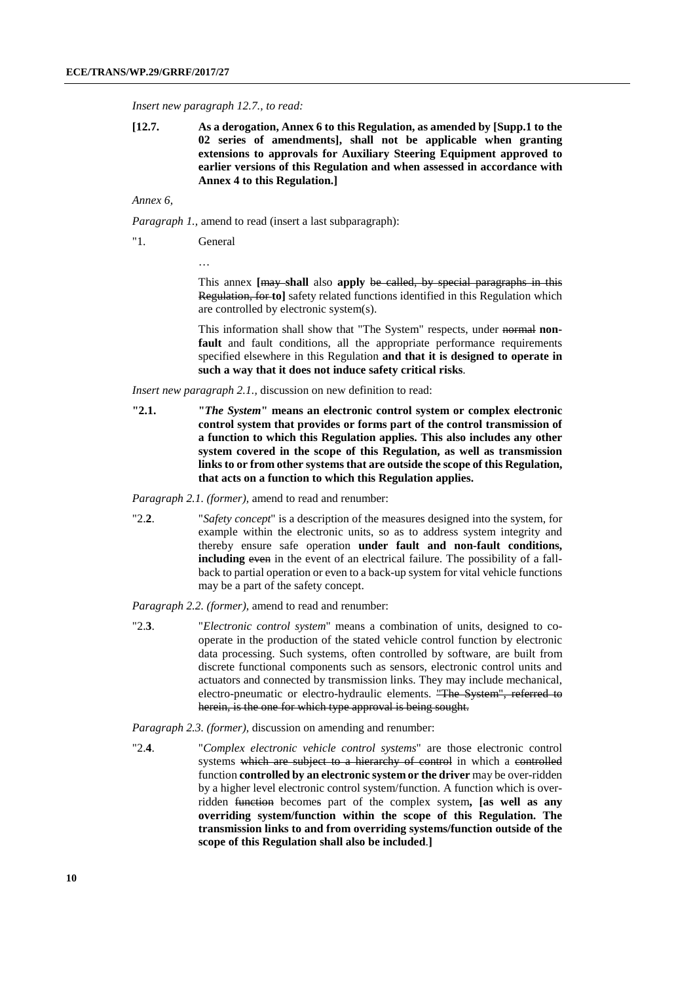*Insert new paragraph 12.7., to read:*

**[12.7. As a derogation, Annex 6 to this Regulation, as amended by [Supp.1 to the 02 series of amendments], shall not be applicable when granting extensions to approvals for Auxiliary Steering Equipment approved to earlier versions of this Regulation and when assessed in accordance with Annex 4 to this Regulation.]**

### *Annex 6,*

*Paragraph 1.,* amend to read (insert a last subparagraph):

"1. General

…

This annex **[**may **shall** also **apply** be called, by special paragraphs in this Regulation, for **to]** safety related functions identified in this Regulation which are controlled by electronic system(s).

This information shall show that "The System" respects, under normal **non**fault and fault conditions, all the appropriate performance requirements specified elsewhere in this Regulation **and that it is designed to operate in such a way that it does not induce safety critical risks**.

*Insert new paragraph 2.1.,* discussion on new definition to read:

**"2.1. "***The System***" means an electronic control system or complex electronic control system that provides or forms part of the control transmission of a function to which this Regulation applies. This also includes any other system covered in the scope of this Regulation, as well as transmission links to or from other systems that are outside the scope of this Regulation, that acts on a function to which this Regulation applies.**

*Paragraph 2.1. (former),* amend to read and renumber:

"2.**2**. "*Safety concept*" is a description of the measures designed into the system, for example within the electronic units, so as to address system integrity and thereby ensure safe operation **under fault and non-fault conditions, including** even in the event of an electrical failure. The possibility of a fallback to partial operation or even to a back-up system for vital vehicle functions may be a part of the safety concept.

*Paragraph 2.2. (former),* amend to read and renumber:

"2.**3**. "*Electronic control system*" means a combination of units, designed to cooperate in the production of the stated vehicle control function by electronic data processing. Such systems, often controlled by software, are built from discrete functional components such as sensors, electronic control units and actuators and connected by transmission links. They may include mechanical, electro-pneumatic or electro-hydraulic elements. "The System", referred to herein, is the one for which type approval is being sought.

*Paragraph 2.3. (former),* discussion on amending and renumber:

"2.**4**. "*Complex electronic vehicle control systems*" are those electronic control systems which are subject to a hierarchy of control in which a controlled function **controlled by an electronic system or the driver** may be over-ridden by a higher level electronic control system/function. A function which is overridden function becomes part of the complex system**, [as well as any overriding system/function within the scope of this Regulation. The transmission links to and from overriding systems/function outside of the scope of this Regulation shall also be included**.**]**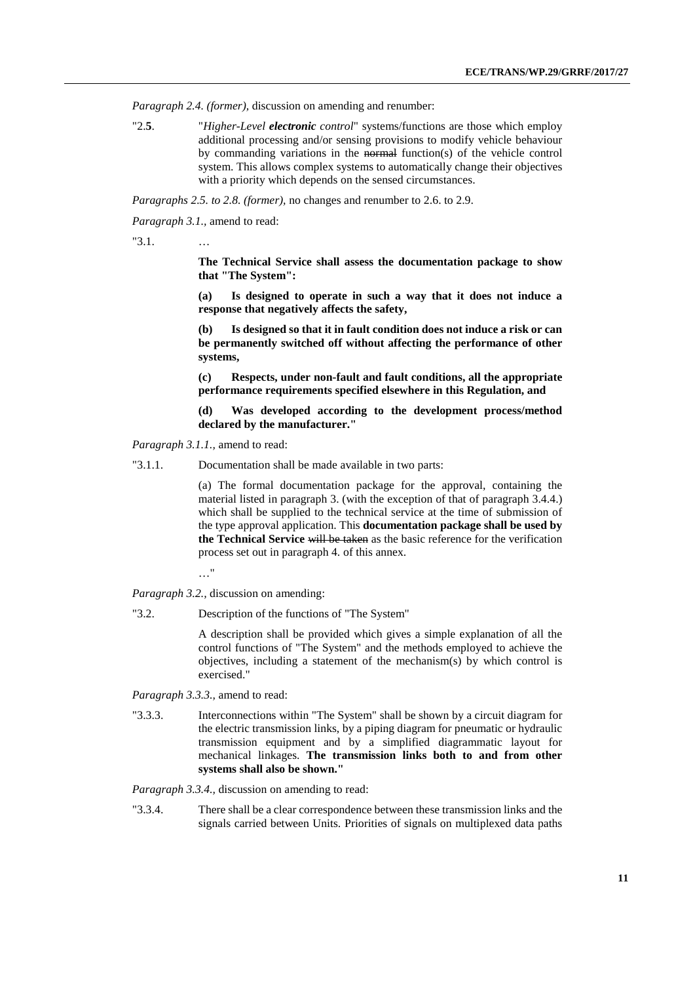*Paragraph 2.4. (former),* discussion on amending and renumber:

"2.**5**. "*Higher-Level electronic control*" systems/functions are those which employ additional processing and/or sensing provisions to modify vehicle behaviour by commanding variations in the normal function(s) of the vehicle control system. This allows complex systems to automatically change their objectives with a priority which depends on the sensed circumstances.

*Paragraphs 2.5. to 2.8. (former),* no changes and renumber to 2.6. to 2.9.

*Paragraph 3.1.,* amend to read:

"3.1. …

**The Technical Service shall assess the documentation package to show that "The System":**

**(a) Is designed to operate in such a way that it does not induce a response that negatively affects the safety,**

**(b) Is designed so that it in fault condition does not induce a risk or can be permanently switched off without affecting the performance of other systems,**

**(c) Respects, under non-fault and fault conditions, all the appropriate performance requirements specified elsewhere in this Regulation, and**

**(d) Was developed according to the development process/method declared by the manufacturer."**

*Paragraph 3.1.1.,* amend to read:

"3.1.1. Documentation shall be made available in two parts:

(a) The formal documentation package for the approval, containing the material listed in paragraph 3. (with the exception of that of paragraph 3.4.4.) which shall be supplied to the technical service at the time of submission of the type approval application. This **documentation package shall be used by the Technical Service** will be taken as the basic reference for the verification process set out in paragraph 4. of this annex.

…"

*Paragraph 3.2.,* discussion on amending:

"3.2. Description of the functions of "The System"

A description shall be provided which gives a simple explanation of all the control functions of "The System" and the methods employed to achieve the objectives, including a statement of the mechanism(s) by which control is exercised."

*Paragraph 3.3.3.,* amend to read:

"3.3.3. Interconnections within "The System" shall be shown by a circuit diagram for the electric transmission links, by a piping diagram for pneumatic or hydraulic transmission equipment and by a simplified diagrammatic layout for mechanical linkages. **The transmission links both to and from other systems shall also be shown."**

*Paragraph 3.3.4.,* discussion on amending to read:

"3.3.4. There shall be a clear correspondence between these transmission links and the signals carried between Units. Priorities of signals on multiplexed data paths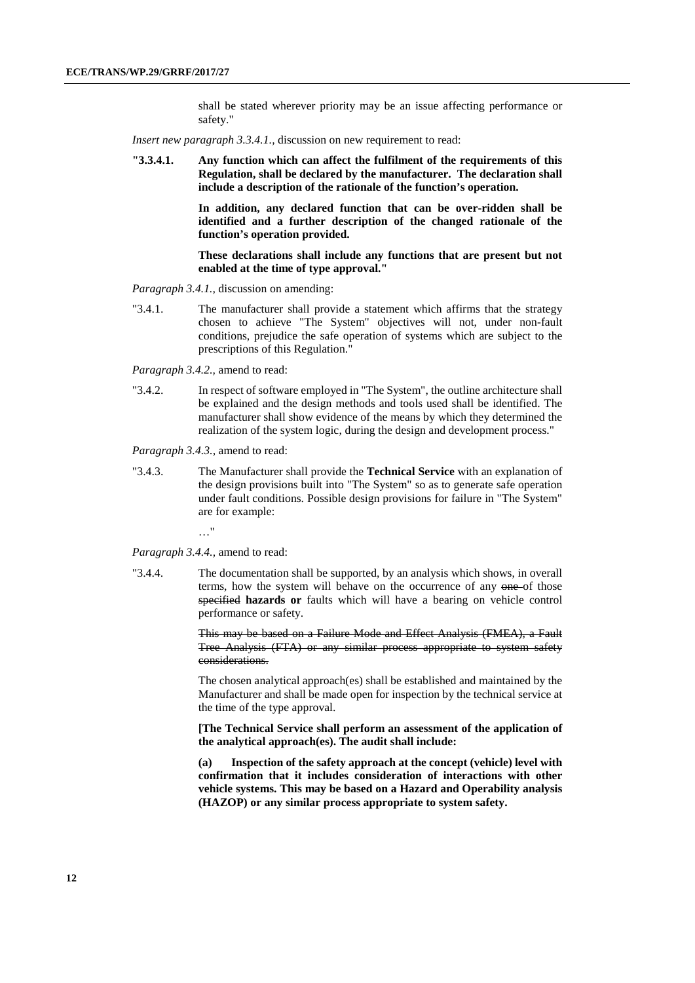shall be stated wherever priority may be an issue affecting performance or safety."

*Insert new paragraph 3.3.4.1.*, discussion on new requirement to read:

**"3.3.4.1. Any function which can affect the fulfilment of the requirements of this Regulation, shall be declared by the manufacturer. The declaration shall include a description of the rationale of the function's operation.**

> **In addition, any declared function that can be over-ridden shall be identified and a further description of the changed rationale of the function's operation provided.**

> **These declarations shall include any functions that are present but not enabled at the time of type approval."**

*Paragraph 3.4.1.,* discussion on amending:

"3.4.1. The manufacturer shall provide a statement which affirms that the strategy chosen to achieve "The System" objectives will not, under non-fault conditions, prejudice the safe operation of systems which are subject to the prescriptions of this Regulation."

*Paragraph 3.4.2.,* amend to read:

"3.4.2. In respect of software employed in "The System", the outline architecture shall be explained and the design methods and tools used shall be identified. The manufacturer shall show evidence of the means by which they determined the realization of the system logic, during the design and development process."

*Paragraph 3.4.3.,* amend to read:

"3.4.3. The Manufacturer shall provide the **Technical Service** with an explanation of the design provisions built into "The System" so as to generate safe operation under fault conditions. Possible design provisions for failure in "The System" are for example:

…"

*Paragraph 3.4.4.,* amend to read:

"3.4.4. The documentation shall be supported, by an analysis which shows, in overall terms, how the system will behave on the occurrence of any one of those specified **hazards or** faults which will have a bearing on vehicle control performance or safety.

> This may be based on a Failure Mode and Effect Analysis (FMEA), a Fault Tree Analysis (FTA) or any similar process appropriate to system safety considerations.

> The chosen analytical approach(es) shall be established and maintained by the Manufacturer and shall be made open for inspection by the technical service at the time of the type approval.

> **[The Technical Service shall perform an assessment of the application of the analytical approach(es). The audit shall include:**

> **(a) Inspection of the safety approach at the concept (vehicle) level with confirmation that it includes consideration of interactions with other vehicle systems. This may be based on a Hazard and Operability analysis (HAZOP) or any similar process appropriate to system safety.**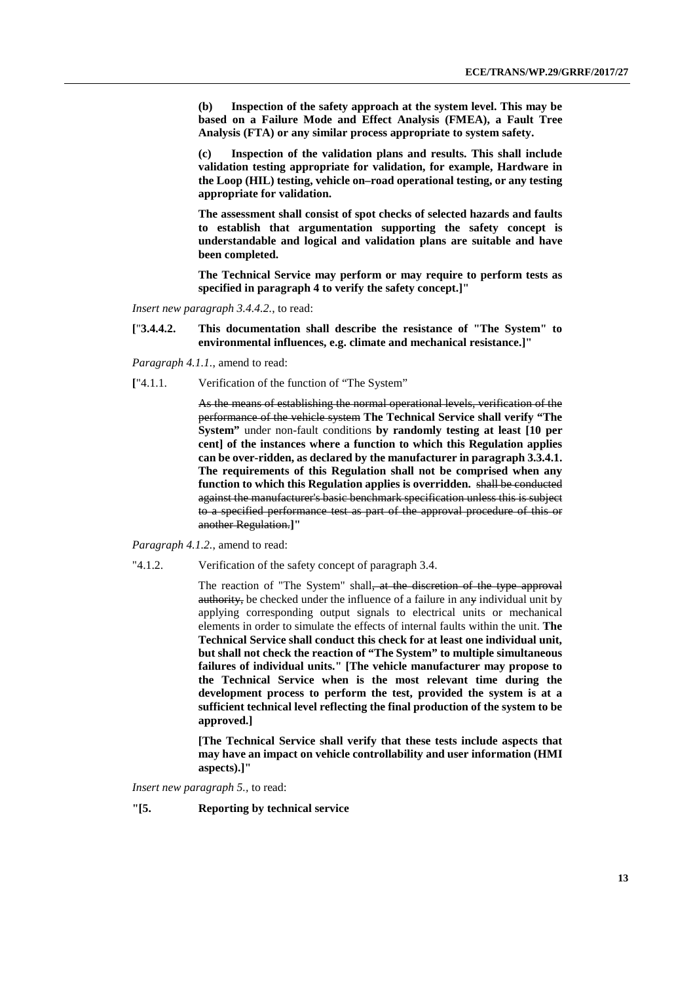**(b) Inspection of the safety approach at the system level. This may be based on a Failure Mode and Effect Analysis (FMEA), a Fault Tree Analysis (FTA) or any similar process appropriate to system safety.** 

**(c) Inspection of the validation plans and results. This shall include validation testing appropriate for validation, for example, Hardware in the Loop (HIL) testing, vehicle on–road operational testing, or any testing appropriate for validation.** 

**The assessment shall consist of spot checks of selected hazards and faults to establish that argumentation supporting the safety concept is understandable and logical and validation plans are suitable and have been completed.**

**The Technical Service may perform or may require to perform tests as specified in paragraph 4 to verify the safety concept.]"**

*Insert new paragraph 3.4.4.2.*, to read:

**[**"**3.4.4.2. This documentation shall describe the resistance of "The System" to environmental influences, e.g. climate and mechanical resistance.]"**

*Paragraph 4.1.1.*, amend to read:

**[**"4.1.1. Verification of the function of "The System"

As the means of establishing the normal operational levels, verification of the performance of the vehicle system **The Technical Service shall verify "The System"** under non-fault conditions **by randomly testing at least [10 per cent] of the instances where a function to which this Regulation applies can be over-ridden, as declared by the manufacturer in paragraph 3.3.4.1. The requirements of this Regulation shall not be comprised when any function to which this Regulation applies is overridden.** shall be conducted against the manufacturer's basic benchmark specification unless this is subject to a specified performance test as part of the approval procedure of this or another Regulation.**]"**

*Paragraph 4.1.2.*, amend to read:

"4.1.2. Verification of the safety concept of paragraph 3.4.

The reaction of "The System" shall<del>, at the discretion of the type approval</del> authority, be checked under the influence of a failure in any individual unit by applying corresponding output signals to electrical units or mechanical elements in order to simulate the effects of internal faults within the unit. **The Technical Service shall conduct this check for at least one individual unit, but shall not check the reaction of "The System" to multiple simultaneous failures of individual units." [The vehicle manufacturer may propose to the Technical Service when is the most relevant time during the development process to perform the test, provided the system is at a sufficient technical level reflecting the final production of the system to be approved.]**

**[The Technical Service shall verify that these tests include aspects that may have an impact on vehicle controllability and user information (HMI aspects).]"**

*Insert new paragraph 5.,* to read:

**"[5. Reporting by technical service**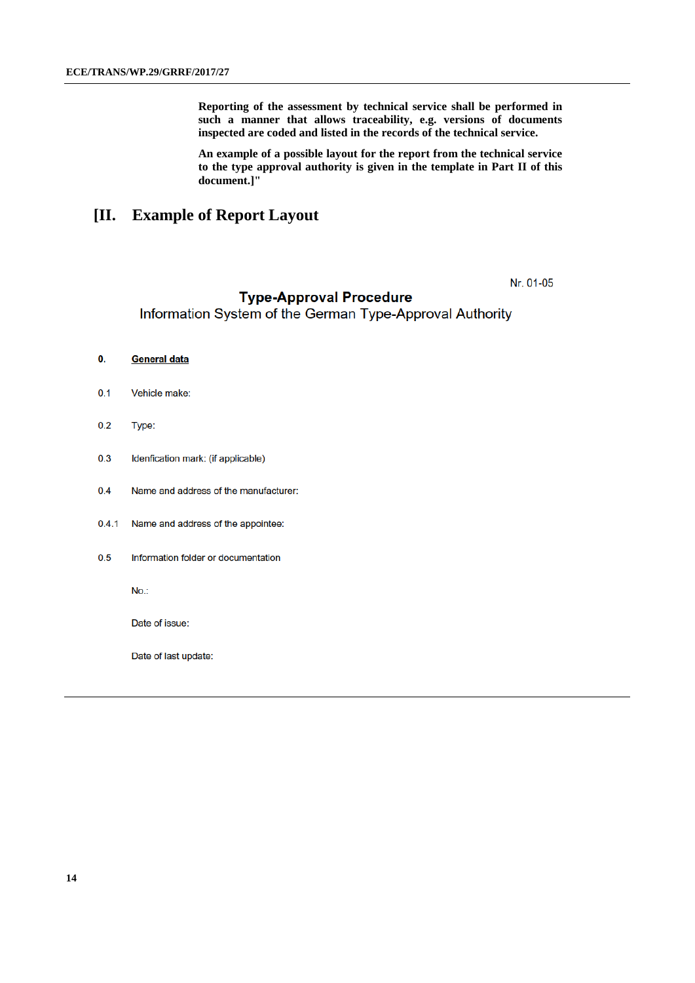**Reporting of the assessment by technical service shall be performed in such a manner that allows traceability, e.g. versions of documents inspected are coded and listed in the records of the technical service.**

**An example of a possible layout for the report from the technical service to the type approval authority is given in the template in Part II of this document.]"**

## **[II. Example of Report Layout**

Nr. 01-05

### **Type-Approval Procedure**

Information System of the German Type-Approval Authority

- $\mathbf{0}$ . **General data**
- Vehicle make:  $0.1$
- $0.2$ Type:
- $0.3$ Idenfication mark: (if applicable)
- $0.4$ Name and address of the manufacturer:
- Name and address of the appointee:  $0.4.1$
- $0.5$ Information folder or documentation

 $No.$ 

Date of issue:

Date of last update: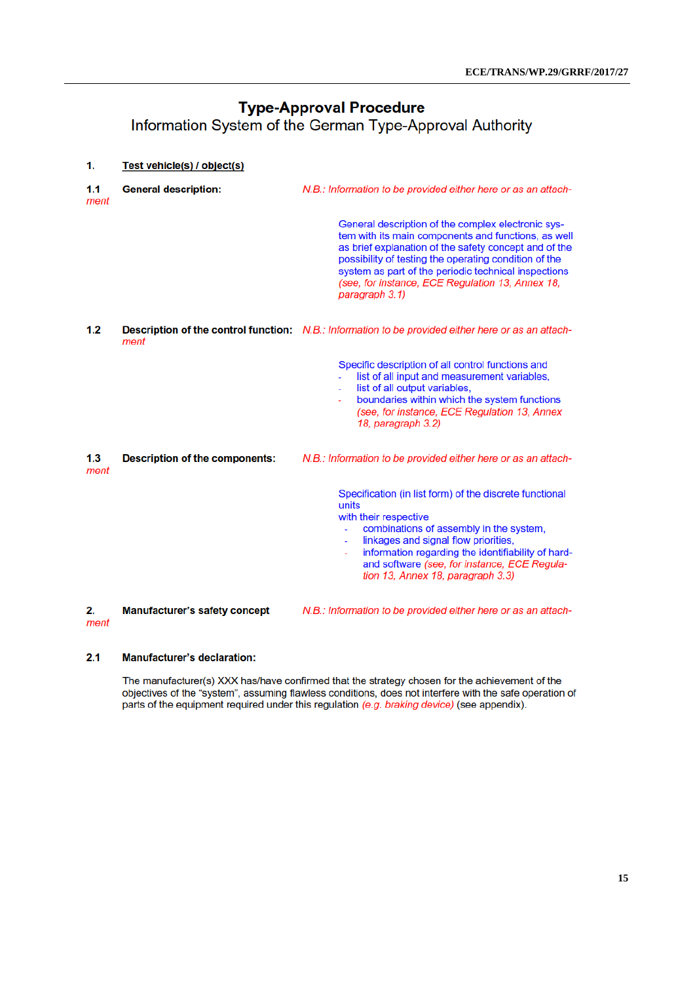# **Type-Approval Procedure** Information System of the German Type-Approval Authority

| 1.          | Test vehicle(s) / object(s)           |                                                                                                                                                                                                                                                                                                                                                           |
|-------------|---------------------------------------|-----------------------------------------------------------------------------------------------------------------------------------------------------------------------------------------------------------------------------------------------------------------------------------------------------------------------------------------------------------|
| 1.1<br>ment | <b>General description:</b>           | N.B.: Information to be provided either here or as an attach-                                                                                                                                                                                                                                                                                             |
|             |                                       | General description of the complex electronic sys-<br>tem with its main components and functions, as well<br>as brief explanation of the safety concept and of the<br>possibility of testing the operating condition of the<br>system as part of the periodic technical inspections<br>(see, for instance, ECE Regulation 13, Annex 18,<br>paragraph 3.1) |
| 1.2         | ment                                  | <b>Description of the control function:</b> N.B.: Information to be provided either here or as an attach-                                                                                                                                                                                                                                                 |
|             |                                       | Specific description of all control functions and<br>list of all input and measurement variables,<br>list of all output variables,<br>boundaries within which the system functions<br>(see, for instance, ECE Regulation 13, Annex<br>18, paragraph 3.2)                                                                                                  |
| 1.3<br>ment | <b>Description of the components:</b> | N.B.: Information to be provided either here or as an attach-                                                                                                                                                                                                                                                                                             |
|             |                                       | Specification (in list form) of the discrete functional<br>units<br>with their respective<br>combinations of assembly in the system,<br>linkages and signal flow priorities,<br>÷.<br>information regarding the identifiability of hard-<br>÷.<br>and software (see, for instance, ECE Regula-<br>tion 13, Annex 18, paragraph 3.3)                       |
| 2.<br>ment  | <b>Manufacturer's safety concept</b>  | N.B.: Information to be provided either here or as an attach-                                                                                                                                                                                                                                                                                             |

#### $2.1$ **Manufacturer's declaration:**

The manufacturer(s) XXX has/have confirmed that the strategy chosen for the achievement of the objectives of the "system", assuming flawless conditions, does not interfere with the safe operation of parts of the equipment required under this regulation (e.g. braking device) (see appendix).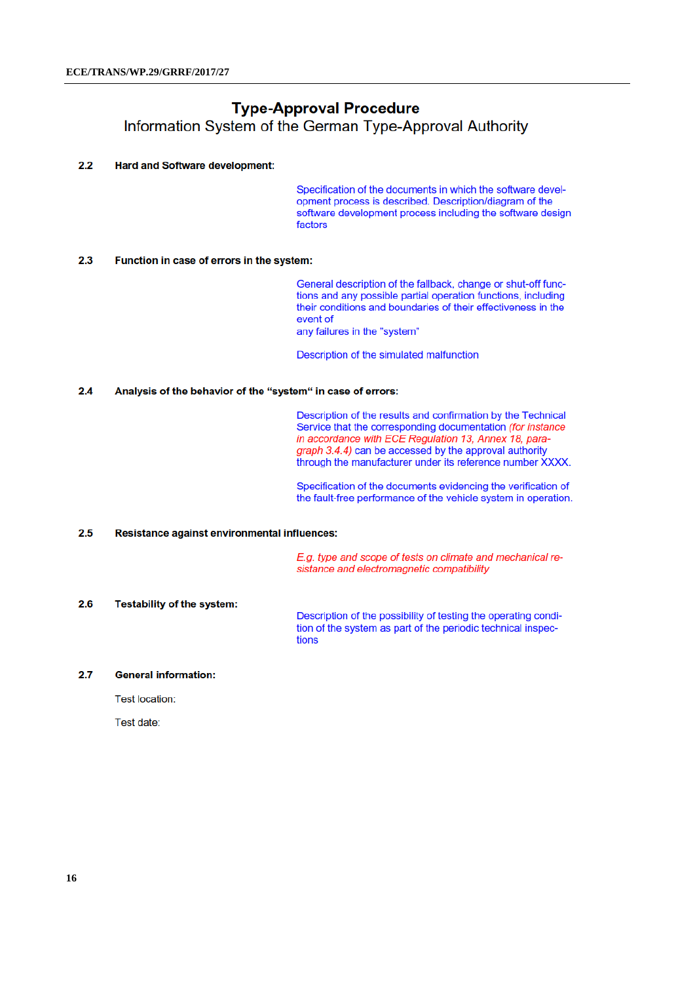# **Type-Approval Procedure** Information System of the German Type-Approval Authority

#### $2.2$ **Hard and Software development:**

Specification of the documents in which the software development process is described. Description/diagram of the software development process including the software design factors

#### $2.3$ Function in case of errors in the system:

General description of the fallback, change or shut-off functions and any possible partial operation functions, including their conditions and boundaries of their effectiveness in the event of

any failures in the "system"

Description of the simulated malfunction

#### Analysis of the behavior of the "system" in case of errors:  $2.4$

Description of the results and confirmation by the Technical Service that the corresponding documentation (for instance in accordance with ECE Regulation 13, Annex 18, paragraph 3.4.4) can be accessed by the approval authority through the manufacturer under its reference number XXXX.

Specification of the documents evidencing the verification of the fault-free performance of the vehicle system in operation.

#### $2.5$ Resistance against environmental influences:

E.g. type and scope of tests on climate and mechanical resistance and electromagnetic compatibility

#### $2.6$ Testability of the system:

Description of the possibility of testing the operating condition of the system as part of the periodic technical inspections

#### $2.7$ **General information:**

**Test location:** 

Test date: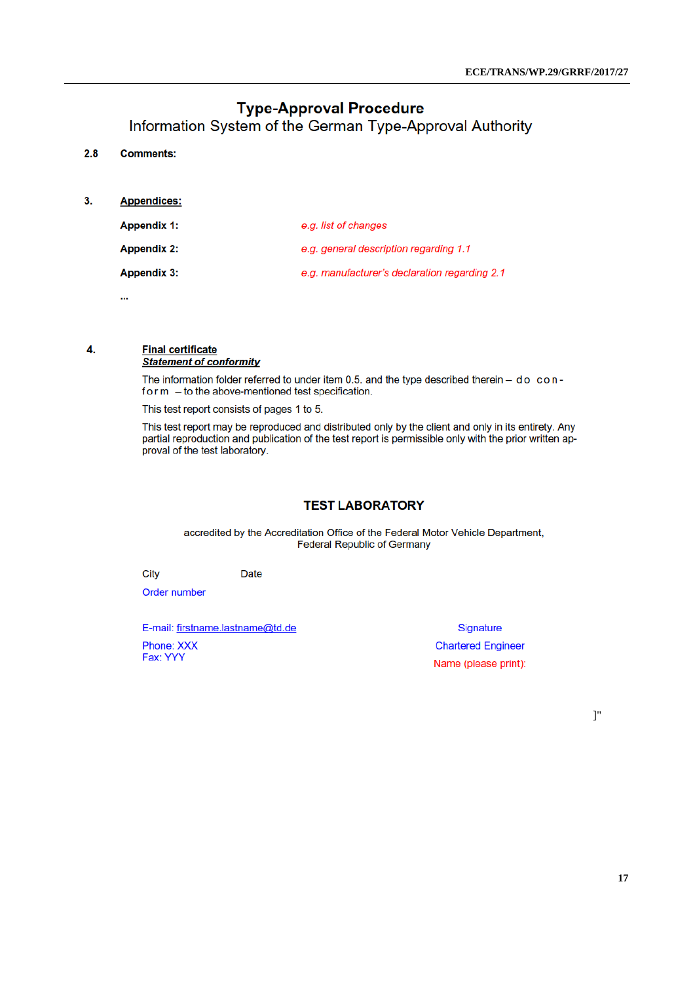# **Type-Approval Procedure**

Information System of the German Type-Approval Authority

#### $2.8$ **Comments:**

 $3.$ **Appendices:** 

| <b>Appendix 1:</b> | e.g. list of changes                          |
|--------------------|-----------------------------------------------|
| <b>Appendix 2:</b> | e.g. general description regarding 1.1        |
| <b>Appendix 3:</b> | e.g. manufacturer's declaration regarding 2.1 |

ш,

4.

# **Final certificate**

**Statement of conformity** 

The information folder referred to under item 0.5. and the type described therein  $-$  do con $form - to the above-mentioned test specification.$ 

This test report consists of pages 1 to 5.

This test report may be reproduced and distributed only by the client and only in its entirety. Any partial reproduction and publication of the test report is permissible only with the prior written approval of the test laboratory.

## **TEST LABORATORY**

accredited by the Accreditation Office of the Federal Motor Vehicle Department, **Federal Republic of Germany** 

City

Order number

E-mail: firstname.lastname@td.de

**Date** 

Phone: XXX Fax: YYY

**Signature Chartered Engineer** Name (please print):

]"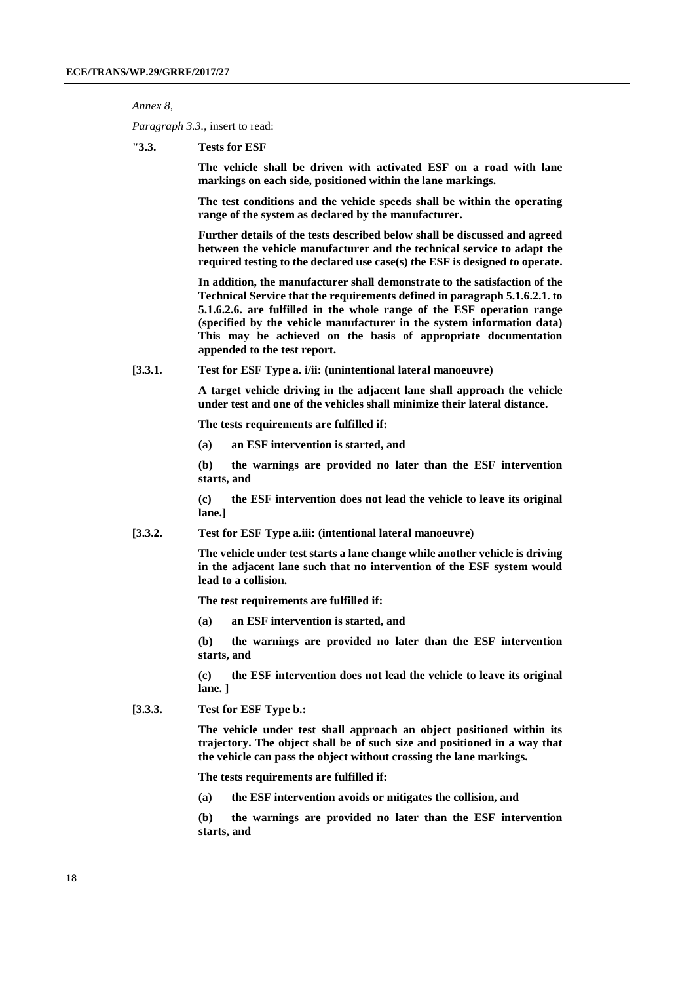*Annex 8,*

*Paragraph 3.3.,* insert to read:

**"3.3. Tests for ESF**

**The vehicle shall be driven with activated ESF on a road with lane markings on each side, positioned within the lane markings.**

**The test conditions and the vehicle speeds shall be within the operating range of the system as declared by the manufacturer.**

**Further details of the tests described below shall be discussed and agreed between the vehicle manufacturer and the technical service to adapt the required testing to the declared use case(s) the ESF is designed to operate.**

**In addition, the manufacturer shall demonstrate to the satisfaction of the Technical Service that the requirements defined in paragraph 5.1.6.2.1. to 5.1.6.2.6. are fulfilled in the whole range of the ESF operation range (specified by the vehicle manufacturer in the system information data) This may be achieved on the basis of appropriate documentation appended to the test report.** 

**[3.3.1. Test for ESF Type a. i/ii: (unintentional lateral manoeuvre)**

**A target vehicle driving in the adjacent lane shall approach the vehicle under test and one of the vehicles shall minimize their lateral distance.** 

**The tests requirements are fulfilled if:**

**(a) an ESF intervention is started, and**

**(b) the warnings are provided no later than the ESF intervention starts, and**

**(c) the ESF intervention does not lead the vehicle to leave its original lane.]**

**[3.3.2. Test for ESF Type a.iii: (intentional lateral manoeuvre)**

**The vehicle under test starts a lane change while another vehicle is driving in the adjacent lane such that no intervention of the ESF system would lead to a collision.**

**The test requirements are fulfilled if:**

**(a) an ESF intervention is started, and**

**(b) the warnings are provided no later than the ESF intervention starts, and**

**(c) the ESF intervention does not lead the vehicle to leave its original lane. ]**

**[3.3.3. Test for ESF Type b.:**

**The vehicle under test shall approach an object positioned within its trajectory. The object shall be of such size and positioned in a way that the vehicle can pass the object without crossing the lane markings.**

**The tests requirements are fulfilled if:**

**(a) the ESF intervention avoids or mitigates the collision, and** 

**(b) the warnings are provided no later than the ESF intervention starts, and**